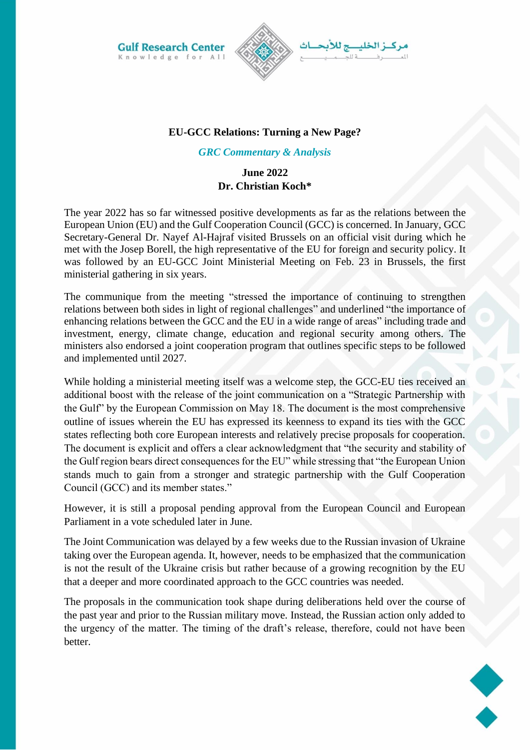**Gulf Research Center** Knowledge for All



## **EU-GCC Relations: Turning a New Page?**

## *GRC Commentary & Analysis*

## **June 2022 Dr. Christian Koch\***

The year 2022 has so far witnessed positive developments as far as the relations between the European Union (EU) and the Gulf Cooperation Council (GCC) is concerned. In January, GCC Secretary-General Dr. Nayef Al-Hajraf visited Brussels on an official visit during which he met with the Josep Borell, the high representative of the EU for foreign and security policy. It was followed by an EU-GCC Joint Ministerial Meeting on Feb. 23 in Brussels, the first ministerial gathering in six years.

The communique from the meeting "stressed the importance of continuing to strengthen relations between both sides in light of regional challenges" and underlined "the importance of enhancing relations between the GCC and the EU in a wide range of areas" including trade and investment, energy, climate change, education and regional security among others. The ministers also endorsed a joint cooperation program that outlines specific steps to be followed and implemented until 2027.

While holding a ministerial meeting itself was a welcome step, the GCC-EU ties received an additional boost with the release of the joint communication on a "Strategic Partnership with the Gulf" by the European Commission on May 18. The document is the most comprehensive outline of issues wherein the EU has expressed its keenness to expand its ties with the GCC states reflecting both core European interests and relatively precise proposals for cooperation. The document is explicit and offers a clear acknowledgment that "the security and stability of the Gulf region bears direct consequences for the EU" while stressing that "the European Union stands much to gain from a stronger and strategic partnership with the Gulf Cooperation Council (GCC) and its member states."

However, it is still a proposal pending approval from the European Council and European Parliament in a vote scheduled later in June.

The Joint Communication was delayed by a few weeks due to the Russian invasion of Ukraine taking over the European agenda. It, however, needs to be emphasized that the communication is not the result of the Ukraine crisis but rather because of a growing recognition by the EU that a deeper and more coordinated approach to the GCC countries was needed.

The proposals in the communication took shape during deliberations held over the course of the past year and prior to the Russian military move. Instead, the Russian action only added to the urgency of the matter. The timing of the draft's release, therefore, could not have been better.

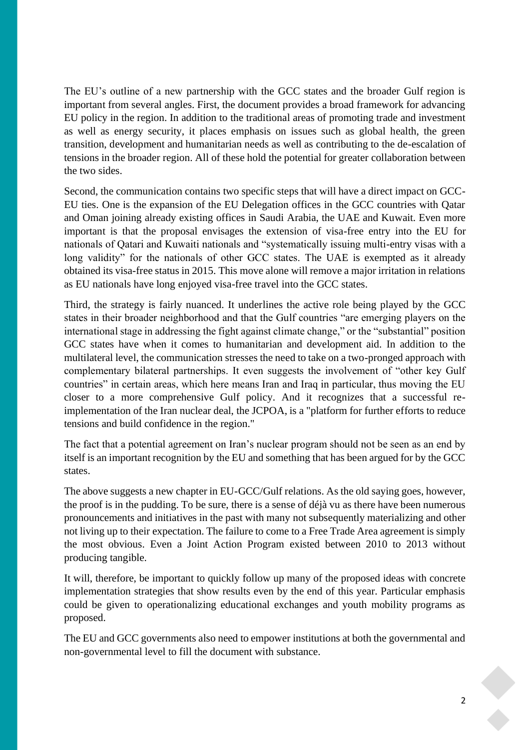The EU's outline of a new partnership with the GCC states and the broader Gulf region is important from several angles. First, the document provides a broad framework for advancing EU policy in the region. In addition to the traditional areas of promoting trade and investment as well as energy security, it places emphasis on issues such as global health, the green transition, development and humanitarian needs as well as contributing to the de-escalation of tensions in the broader region. All of these hold the potential for greater collaboration between the two sides.

Second, the communication contains two specific steps that will have a direct impact on GCC-EU ties. One is the expansion of the EU Delegation offices in the GCC countries with Qatar and Oman joining already existing offices in Saudi Arabia, the UAE and Kuwait. Even more important is that the proposal envisages the extension of visa-free entry into the EU for nationals of Qatari and Kuwaiti nationals and "systematically issuing multi-entry visas with a long validity" for the nationals of other GCC states. The UAE is exempted as it already obtained its visa-free status in 2015. This move alone will remove a major irritation in relations as EU nationals have long enjoyed visa-free travel into the GCC states.

Third, the strategy is fairly nuanced. It underlines the active role being played by the GCC states in their broader neighborhood and that the Gulf countries "are emerging players on the international stage in addressing the fight against climate change," or the "substantial" position GCC states have when it comes to humanitarian and development aid. In addition to the multilateral level, the communication stresses the need to take on a two-pronged approach with complementary bilateral partnerships. It even suggests the involvement of "other key Gulf countries" in certain areas, which here means Iran and Iraq in particular, thus moving the EU closer to a more comprehensive Gulf policy. And it recognizes that a successful reimplementation of the Iran nuclear deal, the JCPOA, is a "platform for further efforts to reduce tensions and build confidence in the region."

The fact that a potential agreement on Iran's nuclear program should not be seen as an end by itself is an important recognition by the EU and something that has been argued for by the GCC states.

The above suggests a new chapter in EU-GCC/Gulf relations. As the old saying goes, however, the proof is in the pudding. To be sure, there is a sense of déjà vu as there have been numerous pronouncements and initiatives in the past with many not subsequently materializing and other not living up to their expectation. The failure to come to a Free Trade Area agreement is simply the most obvious. Even a Joint Action Program existed between 2010 to 2013 without producing tangible.

It will, therefore, be important to quickly follow up many of the proposed ideas with concrete implementation strategies that show results even by the end of this year. Particular emphasis could be given to operationalizing educational exchanges and youth mobility programs as proposed.

The EU and GCC governments also need to empower institutions at both the governmental and non-governmental level to fill the document with substance.